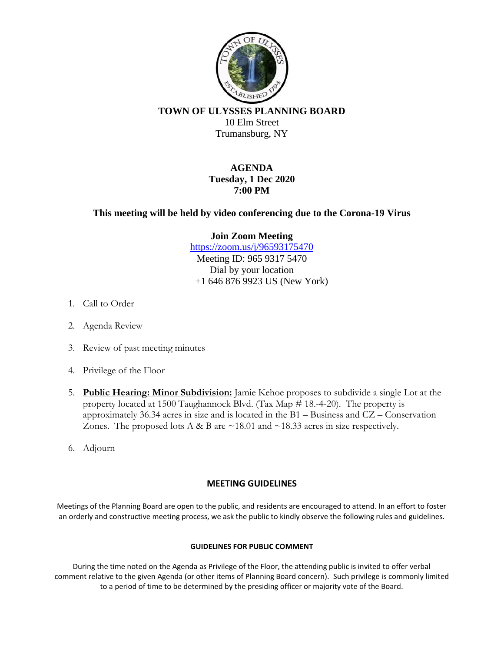

**TOWN OF ULYSSES PLANNING BOARD** 10 Elm Street Trumansburg, NY

# **AGENDA Tuesday, 1 Dec 2020 7:00 PM**

# **This meeting will be held by video conferencing due to the Corona-19 Virus**

#### **Join Zoom Meeting**

<https://zoom.us/j/96593175470> Meeting ID: 965 9317 5470 Dial by your location +1 646 876 9923 US (New York)

- 1. Call to Order
- 2. Agenda Review
- 3. Review of past meeting minutes
- 4. Privilege of the Floor
- 5. **Public Hearing: Minor Subdivision:** Jamie Kehoe proposes to subdivide a single Lot at the property located at 1500 Taughannock Blvd. (Tax Map # 18.-4-20). The property is approximately 36.34 acres in size and is located in the B1 – Business and CZ – Conservation Zones. The proposed lots A & B are  $\sim$  18.01 and  $\sim$  18.33 acres in size respectively.
- 6. Adjourn

## **MEETING GUIDELINES**

Meetings of the Planning Board are open to the public, and residents are encouraged to attend. In an effort to foster an orderly and constructive meeting process, we ask the public to kindly observe the following rules and guidelines.

#### **GUIDELINES FOR PUBLIC COMMENT**

During the time noted on the Agenda as Privilege of the Floor, the attending public is invited to offer verbal comment relative to the given Agenda (or other items of Planning Board concern). Such privilege is commonly limited to a period of time to be determined by the presiding officer or majority vote of the Board.